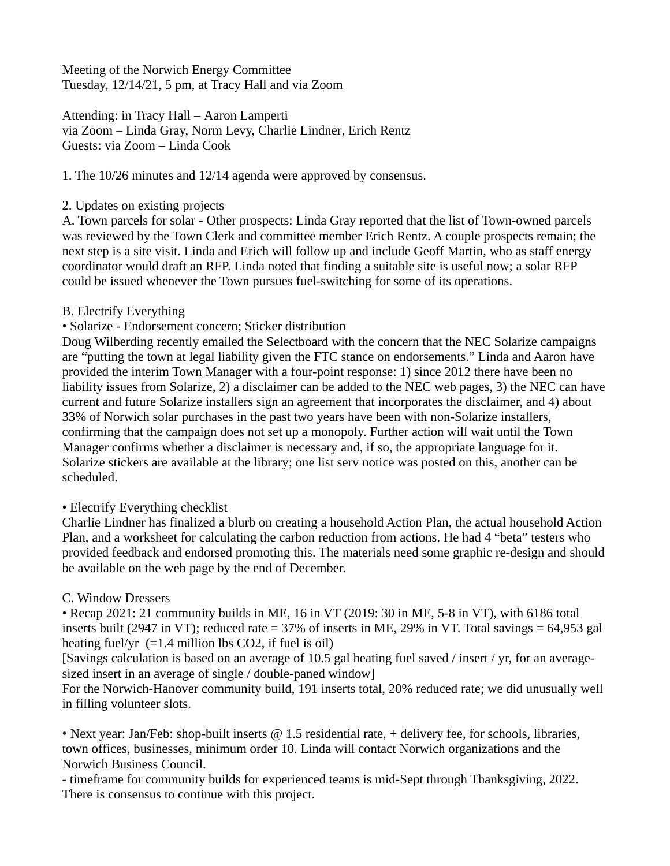Meeting of the Norwich Energy Committee Tuesday, 12/14/21, 5 pm, at Tracy Hall and via Zoom

Attending: in Tracy Hall – Aaron Lamperti via Zoom – Linda Gray, Norm Levy, Charlie Lindner, Erich Rentz Guests: via Zoom – Linda Cook

1. The 10/26 minutes and 12/14 agenda were approved by consensus.

#### 2. Updates on existing projects

A. Town parcels for solar - Other prospects: Linda Gray reported that the list of Town-owned parcels was reviewed by the Town Clerk and committee member Erich Rentz. A couple prospects remain; the next step is a site visit. Linda and Erich will follow up and include Geoff Martin, who as staff energy coordinator would draft an RFP. Linda noted that finding a suitable site is useful now; a solar RFP could be issued whenever the Town pursues fuel-switching for some of its operations.

### B. Electrify Everything

### • Solarize - Endorsement concern; Sticker distribution

Doug Wilberding recently emailed the Selectboard with the concern that the NEC Solarize campaigns are "putting the town at legal liability given the FTC stance on endorsements." Linda and Aaron have provided the interim Town Manager with a four-point response: 1) since 2012 there have been no liability issues from Solarize, 2) a disclaimer can be added to the NEC web pages, 3) the NEC can have current and future Solarize installers sign an agreement that incorporates the disclaimer, and 4) about 33% of Norwich solar purchases in the past two years have been with non-Solarize installers, confirming that the campaign does not set up a monopoly. Further action will wait until the Town Manager confirms whether a disclaimer is necessary and, if so, the appropriate language for it. Solarize stickers are available at the library; one list serv notice was posted on this, another can be scheduled.

## • Electrify Everything checklist

Charlie Lindner has finalized a blurb on creating a household Action Plan, the actual household Action Plan, and a worksheet for calculating the carbon reduction from actions. He had 4 "beta" testers who provided feedback and endorsed promoting this. The materials need some graphic re-design and should be available on the web page by the end of December.

## C. Window Dressers

• Recap 2021: 21 community builds in ME, 16 in VT (2019: 30 in ME, 5-8 in VT), with 6186 total inserts built (2947 in VT); reduced rate = 37% of inserts in ME, 29% in VT. Total savings = 64,953 gal heating fuel/yr  $(=1.4 \text{ million lbs CO2}, \text{ if fuel is oil})$ 

[Savings calculation is based on an average of 10.5 gal heating fuel saved / insert / yr, for an averagesized insert in an average of single / double-paned window]

For the Norwich-Hanover community build, 191 inserts total, 20% reduced rate; we did unusually well in filling volunteer slots.

• Next year: Jan/Feb: shop-built inserts  $\omega$  1.5 residential rate, + delivery fee, for schools, libraries, town offices, businesses, minimum order 10. Linda will contact Norwich organizations and the Norwich Business Council.

- timeframe for community builds for experienced teams is mid-Sept through Thanksgiving, 2022. There is consensus to continue with this project.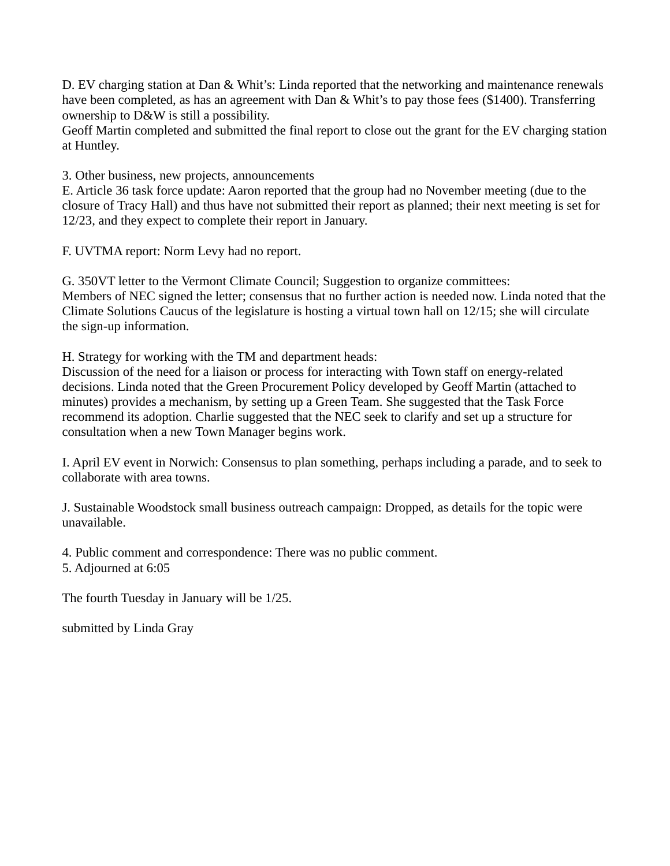D. EV charging station at Dan & Whit's: Linda reported that the networking and maintenance renewals have been completed, as has an agreement with Dan & Whit's to pay those fees (\$1400). Transferring ownership to D&W is still a possibility.

Geoff Martin completed and submitted the final report to close out the grant for the EV charging station at Huntley.

3. Other business, new projects, announcements

E. Article 36 task force update: Aaron reported that the group had no November meeting (due to the closure of Tracy Hall) and thus have not submitted their report as planned; their next meeting is set for 12/23, and they expect to complete their report in January.

F. UVTMA report: Norm Levy had no report.

G. 350VT letter to the Vermont Climate Council; Suggestion to organize committees: Members of NEC signed the letter; consensus that no further action is needed now. Linda noted that the Climate Solutions Caucus of the legislature is hosting a virtual town hall on 12/15; she will circulate the sign-up information.

H. Strategy for working with the TM and department heads:

Discussion of the need for a liaison or process for interacting with Town staff on energy-related decisions. Linda noted that the Green Procurement Policy developed by Geoff Martin (attached to minutes) provides a mechanism, by setting up a Green Team. She suggested that the Task Force recommend its adoption. Charlie suggested that the NEC seek to clarify and set up a structure for consultation when a new Town Manager begins work.

I. April EV event in Norwich: Consensus to plan something, perhaps including a parade, and to seek to collaborate with area towns.

J. Sustainable Woodstock small business outreach campaign: Dropped, as details for the topic were unavailable.

4. Public comment and correspondence: There was no public comment. 5. Adjourned at 6:05

The fourth Tuesday in January will be 1/25.

submitted by Linda Gray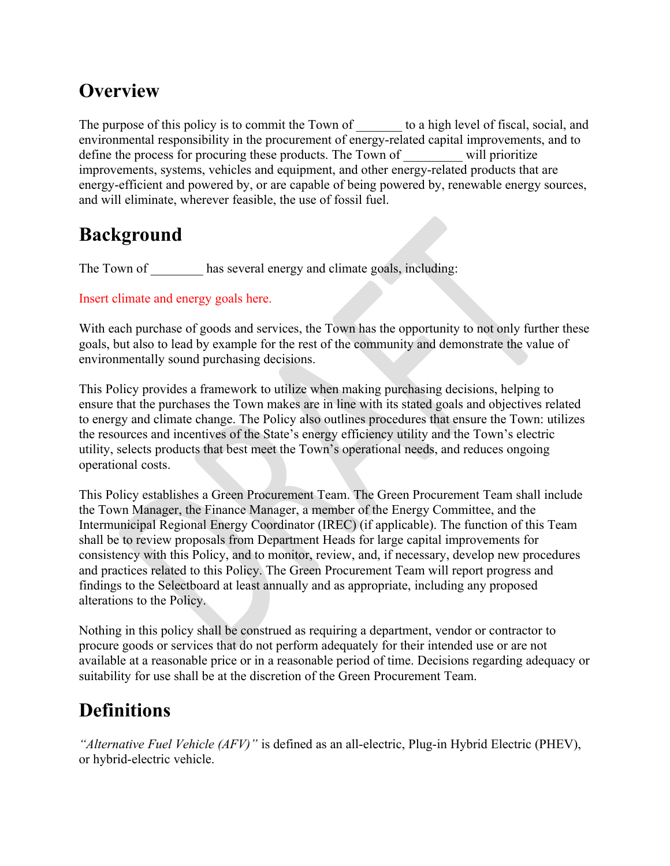# **Overview**

The purpose of this policy is to commit the Town of to a high level of fiscal, social, and environmental responsibility in the procurement of energy-related capital improvements, and to define the process for procuring these products. The Town of will prioritize improvements, systems, vehicles and equipment, and other energy-related products that are energy-efficient and powered by, or are capable of being powered by, renewable energy sources, and will eliminate, wherever feasible, the use of fossil fuel.

# **Background**

The Town of has several energy and climate goals, including:

Insert climate and energy goals here.

With each purchase of goods and services, the Town has the opportunity to not only further these goals, but also to lead by example for the rest of the community and demonstrate the value of environmentally sound purchasing decisions.

This Policy provides a framework to utilize when making purchasing decisions, helping to ensure that the purchases the Town makes are in line with its stated goals and objectives related to energy and climate change. The Policy also outlines procedures that ensure the Town: utilizes the resources and incentives of the State's energy efficiency utility and the Town's electric utility, selects products that best meet the Town's operational needs, and reduces ongoing operational costs.

This Policy establishes a Green Procurement Team. The Green Procurement Team shall include the Town Manager, the Finance Manager, a member of the Energy Committee, and the Intermunicipal Regional Energy Coordinator (IREC) (if applicable). The function of this Team shall be to review proposals from Department Heads for large capital improvements for consistency with this Policy, and to monitor, review, and, if necessary, develop new procedures and practices related to this Policy. The Green Procurement Team will report progress and findings to the Selectboard at least annually and as appropriate, including any proposed alterations to the Policy.

Nothing in this policy shall be construed as requiring a department, vendor or contractor to procure goods or services that do not perform adequately for their intended use or are not available at a reasonable price or in a reasonable period of time. Decisions regarding adequacy or suitability for use shall be at the discretion of the Green Procurement Team.

# **Definitions**

*"Alternative Fuel Vehicle (AFV)"* is defined as an all-electric, Plug-in Hybrid Electric (PHEV), or hybrid-electric vehicle.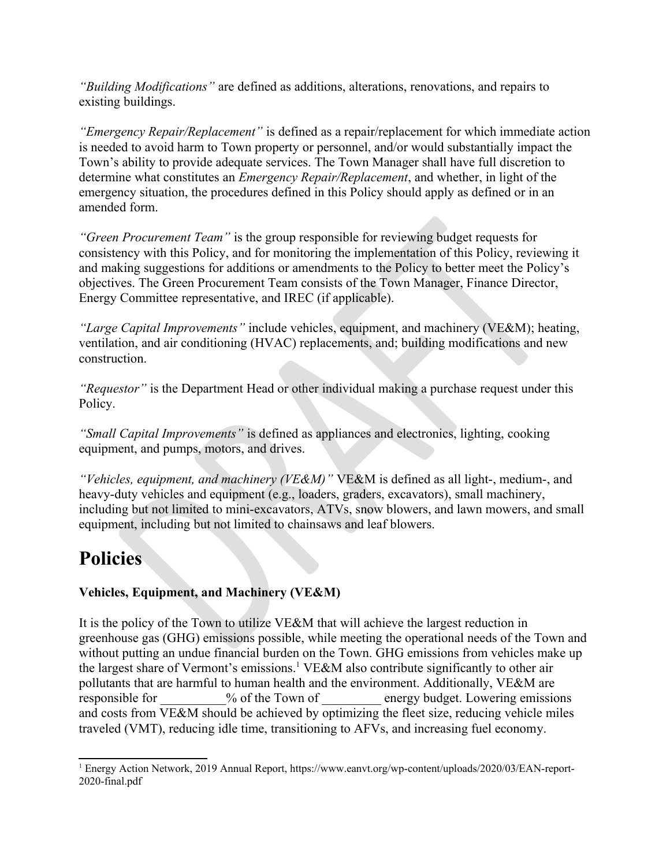*"Building Modifications"* are defined as additions, alterations, renovations, and repairs to existing buildings.

*"Emergency Repair/Replacement"* is defined as a repair/replacement for which immediate action is needed to avoid harm to Town property or personnel, and/or would substantially impact the Town's ability to provide adequate services. The Town Manager shall have full discretion to determine what constitutes an *Emergency Repair/Replacement*, and whether, in light of the emergency situation, the procedures defined in this Policy should apply as defined or in an amended form.

*"Green Procurement Team"* is the group responsible for reviewing budget requests for consistency with this Policy, and for monitoring the implementation of this Policy, reviewing it and making suggestions for additions or amendments to the Policy to better meet the Policy's objectives. The Green Procurement Team consists of the Town Manager, Finance Director, Energy Committee representative, and IREC (if applicable).

*"Large Capital Improvements"* include vehicles, equipment, and machinery (VE&M); heating, ventilation, and air conditioning (HVAC) replacements, and; building modifications and new construction.

*"Requestor"* is the Department Head or other individual making a purchase request under this Policy.

*"Small Capital Improvements"* is defined as appliances and electronics, lighting, cooking equipment, and pumps, motors, and drives.

*"Vehicles, equipment, and machinery (VE&M)"* VE&M is defined as all light-, medium-, and heavy-duty vehicles and equipment (e.g., loaders, graders, excavators), small machinery, including but not limited to mini-excavators, ATVs, snow blowers, and lawn mowers, and small equipment, including but not limited to chainsaws and leaf blowers.

# **Policies**

## **Vehicles, Equipment, and Machinery (VE&M)**

It is the policy of the Town to utilize VE&M that will achieve the largest reduction in greenhouse gas (GHG) emissions possible, while meeting the operational needs of the Town and without putting an undue financial burden on the Town. GHG emissions from vehicles make up the largest share of Vermont's emissions.<sup>[1](#page--1-0)</sup> VE&M also contribute significantly to other air pollutants that are harmful to human health and the environment. Additionally, VE&M are responsible for  $\%$  of the Town of energy budget. Lowering emissions and costs from VE&M should be achieved by optimizing the fleet size, reducing vehicle miles traveled (VMT), reducing idle time, transitioning to AFVs, and increasing fuel economy.

<sup>1</sup> Energy Action Network, 2019 Annual Report, https://www.eanvt.org/wp-content/uploads/2020/03/EAN-report-2020-final.pdf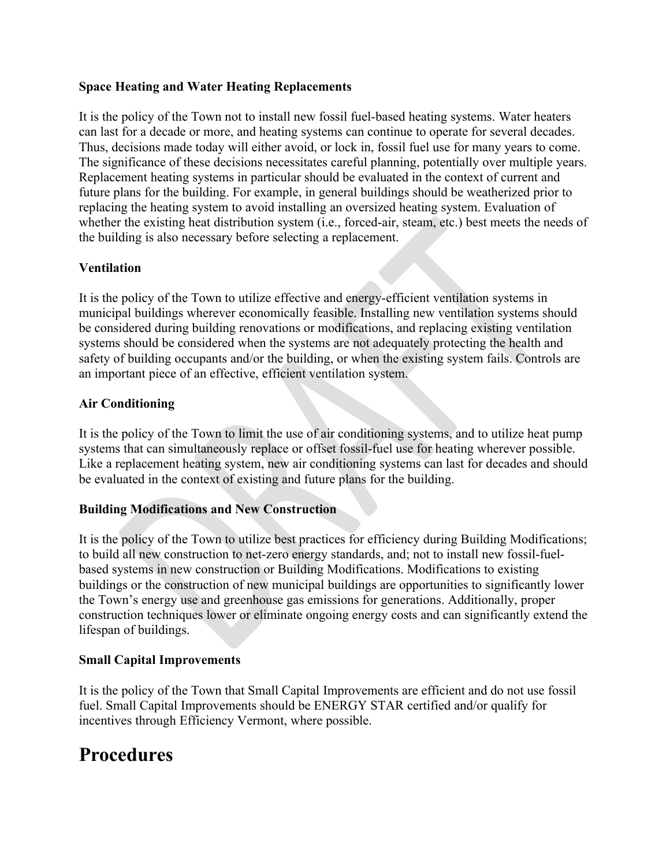#### **Space Heating and Water Heating Replacements**

It is the policy of the Town not to install new fossil fuel-based heating systems. Water heaters can last for a decade or more, and heating systems can continue to operate for several decades. Thus, decisions made today will either avoid, or lock in, fossil fuel use for many years to come. The significance of these decisions necessitates careful planning, potentially over multiple years. Replacement heating systems in particular should be evaluated in the context of current and future plans for the building. For example, in general buildings should be weatherized prior to replacing the heating system to avoid installing an oversized heating system. Evaluation of whether the existing heat distribution system (i.e., forced-air, steam, etc.) best meets the needs of the building is also necessary before selecting a replacement.

### **Ventilation**

It is the policy of the Town to utilize effective and energy-efficient ventilation systems in municipal buildings wherever economically feasible. Installing new ventilation systems should be considered during building renovations or modifications, and replacing existing ventilation systems should be considered when the systems are not adequately protecting the health and safety of building occupants and/or the building, or when the existing system fails. Controls are an important piece of an effective, efficient ventilation system.

### **Air Conditioning**

It is the policy of the Town to limit the use of air conditioning systems, and to utilize heat pump systems that can simultaneously replace or offset fossil-fuel use for heating wherever possible. Like a replacement heating system, new air conditioning systems can last for decades and should be evaluated in the context of existing and future plans for the building.

#### **Building Modifications and New Construction**

It is the policy of the Town to utilize best practices for efficiency during Building Modifications; to build all new construction to net-zero energy standards, and; not to install new fossil-fuelbased systems in new construction or Building Modifications. Modifications to existing buildings or the construction of new municipal buildings are opportunities to significantly lower the Town's energy use and greenhouse gas emissions for generations. Additionally, proper construction techniques lower or eliminate ongoing energy costs and can significantly extend the lifespan of buildings.

#### **Small Capital Improvements**

It is the policy of the Town that Small Capital Improvements are efficient and do not use fossil fuel. Small Capital Improvements should be ENERGY STAR certified and/or qualify for incentives through Efficiency Vermont, where possible.

# **Procedures**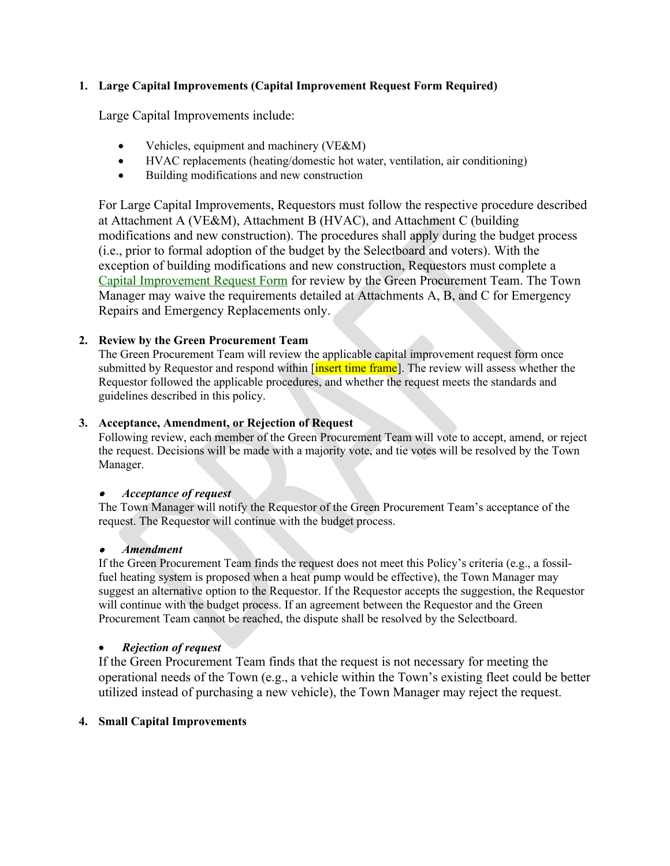#### **1. Large Capital Improvements (Capital Improvement Request Form Required)**

Large Capital Improvements include:

- Vehicles, equipment and machinery (VE&M)
- HVAC replacements (heating/domestic hot water, ventilation, air conditioning)
- Building modifications and new construction

For Large Capital Improvements, Requestors must follow the respective procedure described at Attachment A (VE&M), Attachment B (HVAC), and Attachment C (building modifications and new construction). The procedures shall apply during the budget process (i.e., prior to formal adoption of the budget by the Selectboard and voters). With the exception of building modifications and new construction, Requestors must complete a [Capital Improvement Request Form](#page--1-1) for review by the Green Procurement Team. The Town Manager may waive the requirements detailed at Attachments A, B, and C for Emergency Repairs and Emergency Replacements only.

#### **2. Review by the Green Procurement Team**

The Green Procurement Team will review the applicable capital improvement request form once submitted by Requestor and respond within *[insert time frame]*. The review will assess whether the Requestor followed the applicable procedures, and whether the request meets the standards and guidelines described in this policy.

#### **3. Acceptance, Amendment, or Rejection of Request**

Following review, each member of the Green Procurement Team will vote to accept, amend, or reject the request. Decisions will be made with a majority vote, and tie votes will be resolved by the Town Manager.

#### . *Acceptance of request*

The Town Manager will notify the Requestor of the Green Procurement Team's acceptance of the request. The Requestor will continue with the budget process.

#### . *Amendment*

If the Green Procurement Team finds the request does not meet this Policy's criteria (e.g., a fossilfuel heating system is proposed when a heat pump would be effective), the Town Manager may suggest an alternative option to the Requestor. If the Requestor accepts the suggestion, the Requestor will continue with the budget process. If an agreement between the Requestor and the Green Procurement Team cannot be reached, the dispute shall be resolved by the Selectboard.

#### *Rejection of request*

If the Green Procurement Team finds that the request is not necessary for meeting the operational needs of the Town (e.g., a vehicle within the Town's existing fleet could be better utilized instead of purchasing a new vehicle), the Town Manager may reject the request.

#### **4. Small Capital Improvements**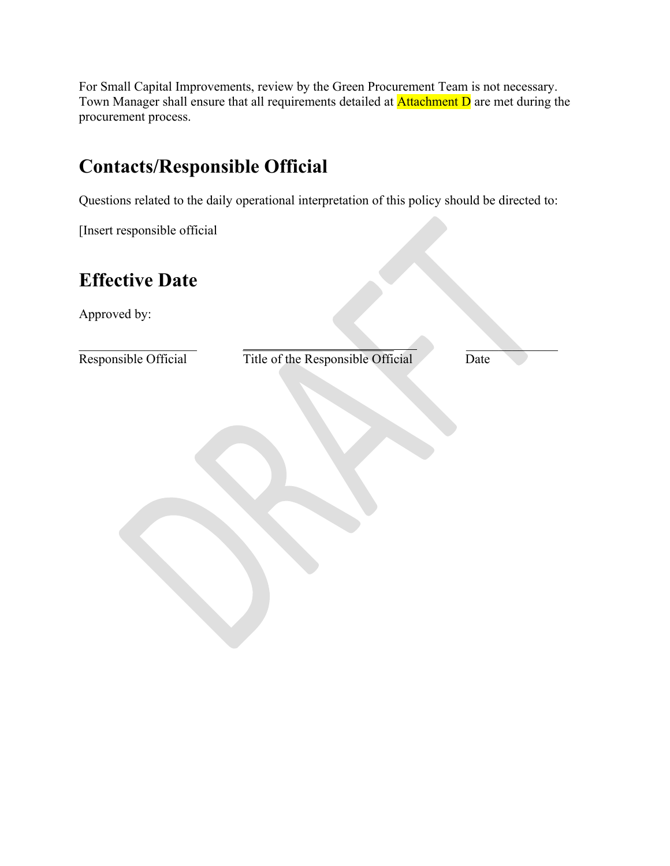For Small Capital Improvements, review by the Green Procurement Team is not necessary. Town Manager shall ensure that all requirements detailed at Attachment D are met during the procurement process.

# **Contacts/Responsible Official**

Questions related to the daily operational interpretation of this policy should be directed to:

[Insert responsible official

# **Effective Date**

Approved by:

Responsible Official Title of the Responsible Official Date

 $\mathcal{L} = \{ \mathcal{L} \mid \mathcal{L} \in \mathcal{L} \}$  , where  $\mathcal{L} = \{ \mathcal{L} \mid \mathcal{L} \in \mathcal{L} \}$  , where  $\mathcal{L} = \{ \mathcal{L} \mid \mathcal{L} \in \mathcal{L} \}$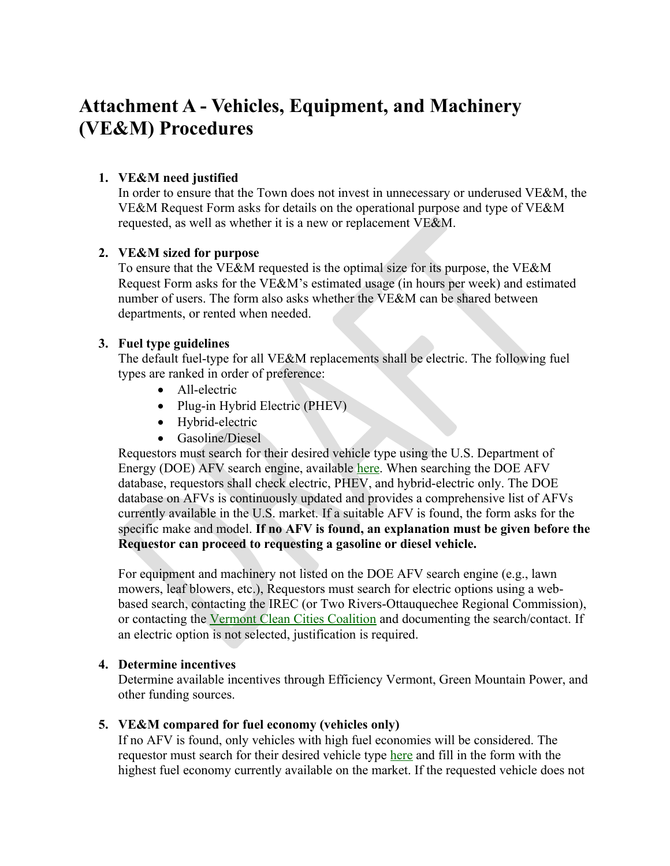# **Attachment A - Vehicles, Equipment, and Machinery (VE&M) Procedures**

### **1. VE&M need justified**

In order to ensure that the Town does not invest in unnecessary or underused VE&M, the VE&M Request Form asks for details on the operational purpose and type of VE&M requested, as well as whether it is a new or replacement VE&M.

#### **2. VE&M sized for purpose**

To ensure that the VE&M requested is the optimal size for its purpose, the VE&M Request Form asks for the VE&M's estimated usage (in hours per week) and estimated number of users. The form also asks whether the VE&M can be shared between departments, or rented when needed.

#### **3. Fuel type guidelines**

The default fuel-type for all VE&M replacements shall be electric. The following fuel types are ranked in order of preference:

- All-electric
- Plug-in Hybrid Electric (PHEV)
- Hybrid-electric
- Gasoline/Diesel

Requestors must search for their desired vehicle type using the U.S. Department of Energy (DOE) AFV search engine, available [here](https://www.afdc.energy.gov/vehicles/search/). When searching the DOE AFV database, requestors shall check electric, PHEV, and hybrid-electric only. The DOE database on AFVs is continuously updated and provides a comprehensive list of AFVs currently available in the U.S. market. If a suitable AFV is found, the form asks for the specific make and model. **If no AFV is found, an explanation must be given before the Requestor can proceed to requesting a gasoline or diesel vehicle.**

For equipment and machinery not listed on the DOE AFV search engine (e.g., lawn mowers, leaf blowers, etc.), Requestors must search for electric options using a webbased search, contacting the IREC (or Two Rivers-Ottauquechee Regional Commission), or contacting the [Vermont Clean Cities Coalition](https://vtccc.w3.uvm.edu/) and documenting the search/contact. If an electric option is not selected, justification is required.

#### **4. Determine incentives**

Determine available incentives through Efficiency Vermont, Green Mountain Power, and other funding sources.

#### **5. VE&M compared for fuel economy (vehicles only)**

If no AFV is found, only vehicles with high fuel economies will be considered. The requestor must search for their desired vehicle type [here](https://www.fueleconomy.gov/feg/powerSearch.jsp) and fill in the form with the highest fuel economy currently available on the market. If the requested vehicle does not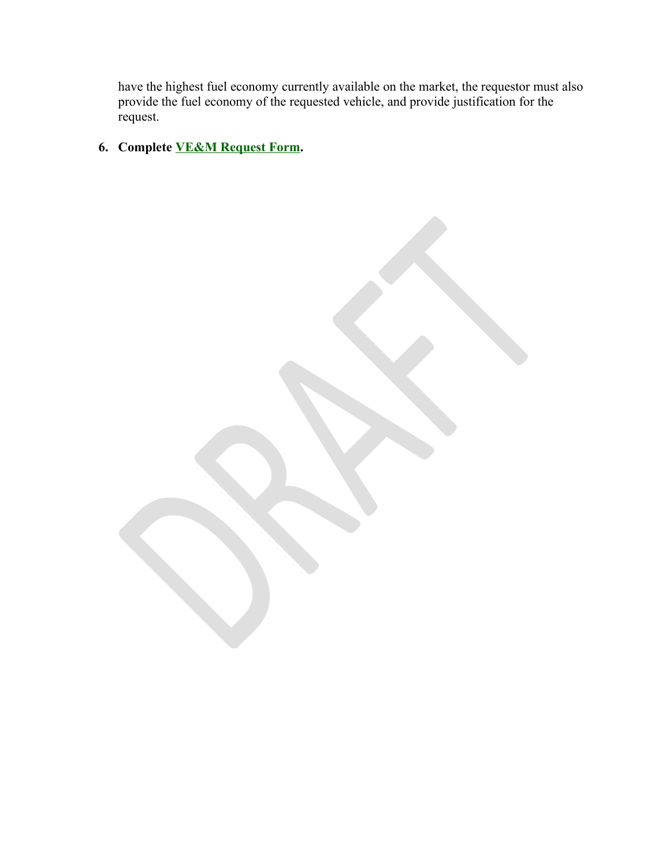have the highest fuel economy currently available on the market, the requestor must also provide the fuel economy of the requested vehicle, and provide justification for the request.

**6. Complete [VE&M Request Form](#page--1-2).**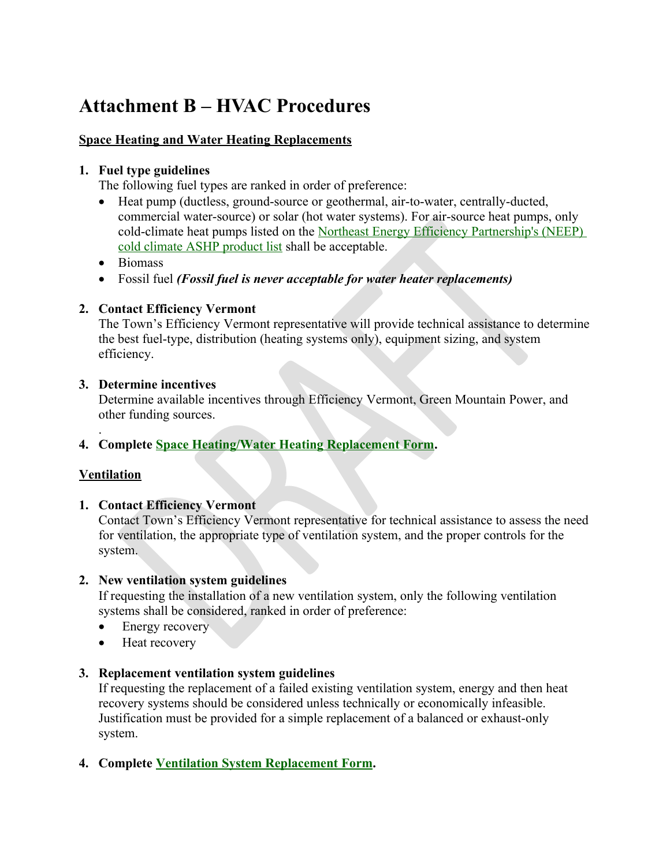# **Attachment B – HVAC Procedures**

## **Space Heating and Water Heating Replacements**

#### **1. Fuel type guidelines**

The following fuel types are ranked in order of preference:

- Heat pump (ductless, ground-source or geothermal, air-to-water, centrally-ducted, commercial water-source) or solar (hot water systems). For air-source heat pumps, only cold-climate heat pumps listed on the [Northeast Energy Efficiency Partnership's \(NEEP\)](https://neep.org/high-performance-air-source-heat-pumps/ccashp-specification-product-list)  [cold climate ASHP product list](https://neep.org/high-performance-air-source-heat-pumps/ccashp-specification-product-list) shall be acceptable.
- Biomass
- Fossil fuel *(Fossil fuel is never acceptable for water heater replacements)*

### **2. Contact Efficiency Vermont**

The Town's Efficiency Vermont representative will provide technical assistance to determine the best fuel-type, distribution (heating systems only), equipment sizing, and system efficiency.

#### **3. Determine incentives**

Determine available incentives through Efficiency Vermont, Green Mountain Power, and other funding sources.

## **4. Complete [Space Heating/Water Heating Replacement Form](#page--1-4).**

## **Ventilation**

.

#### **1. Contact Efficiency Vermont**

Contact Town's Efficiency Vermont representative for technical assistance to assess the need for ventilation, the appropriate type of ventilation system, and the proper controls for the system.

#### **2. New ventilation system guidelines**

If requesting the installation of a new ventilation system, only the following ventilation systems shall be considered, ranked in order of preference:

- Energy recovery
- Heat recovery

## **3. Replacement ventilation system guidelines**

If requesting the replacement of a failed existing ventilation system, energy and then heat recovery systems should be considered unless technically or economically infeasible. Justification must be provided for a simple replacement of a balanced or exhaust-only system.

## **4. Complete [Ventilation System Replacement Form.](#page--1-3)**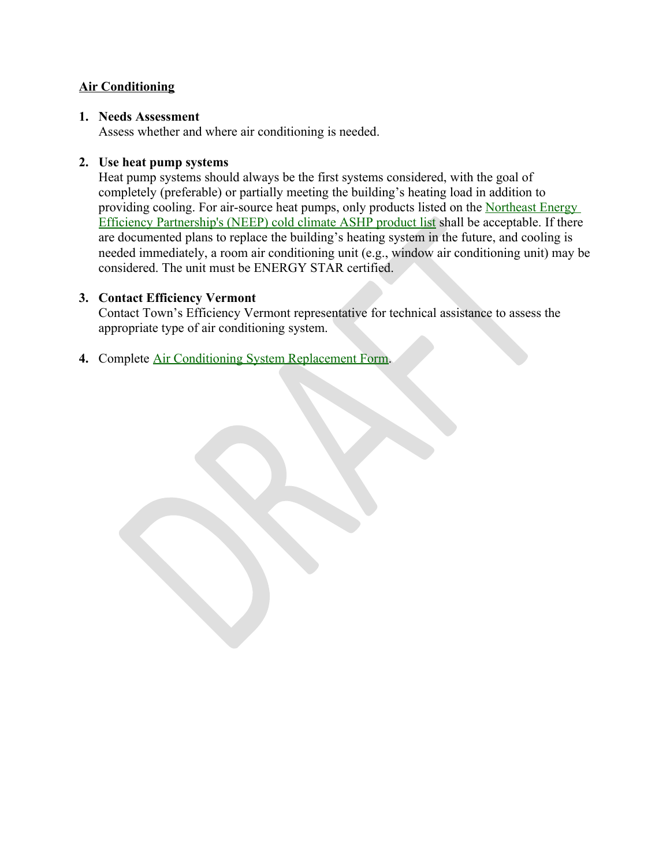#### **Air Conditioning**

#### **1. Needs Assessment**

Assess whether and where air conditioning is needed.

#### **2. Use heat pump systems**

Heat pump systems should always be the first systems considered, with the goal of completely (preferable) or partially meeting the building's heating load in addition to providing cooling. For air-source heat pumps, only products listed on the Northeast Energy [Efficiency Partnership's \(NEEP\) cold climate ASHP product list](https://neep.org/high-performance-air-source-heat-pumps/ccashp-specification-product-list) shall be acceptable. If there are documented plans to replace the building's heating system in the future, and cooling is needed immediately, a room air conditioning unit (e.g., window air conditioning unit) may be considered. The unit must be ENERGY STAR certified.

#### **3. Contact Efficiency Vermont**

Contact Town's Efficiency Vermont representative for technical assistance to assess the appropriate type of air conditioning system.

**4.** Complete [Air Conditioning System Replacement Form](#page--1-5).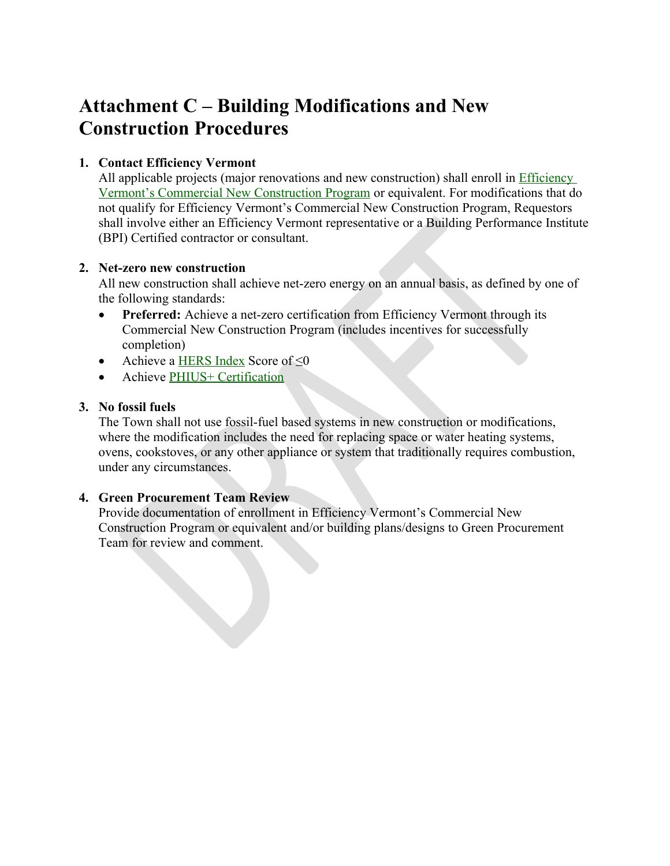# **Attachment C – Building Modifications and New Construction Procedures**

## **1. Contact Efficiency Vermont**

All applicable projects (major renovations and new construction) shall enroll in [Efficiency](https://www.efficiencyvermont.com/services/renovation-construction/commercial-new-construction)  [Vermont's Commercial New Construction Program](https://www.efficiencyvermont.com/services/renovation-construction/commercial-new-construction) or equivalent. For modifications that do not qualify for Efficiency Vermont's Commercial New Construction Program, Requestors shall involve either an Efficiency Vermont representative or a Building Performance Institute (BPI) Certified contractor or consultant.

#### **2. Net-zero new construction**

All new construction shall achieve net-zero energy on an annual basis, as defined by one of the following standards:

- **Preferred:** Achieve a net-zero certification from Efficiency Vermont through its Commercial New Construction Program (includes incentives for successfully completion)
- Achieve a [HERS Index](https://www.hersindex.com/) Score of  $\leq 0$
- Achieve [PHIUS+ Certification](https://www.phius.org/home-page)

#### **3. No fossil fuels**

The Town shall not use fossil-fuel based systems in new construction or modifications, where the modification includes the need for replacing space or water heating systems, ovens, cookstoves, or any other appliance or system that traditionally requires combustion, under any circumstances.

#### **4. Green Procurement Team Review**

Provide documentation of enrollment in Efficiency Vermont's Commercial New Construction Program or equivalent and/or building plans/designs to Green Procurement Team for review and comment.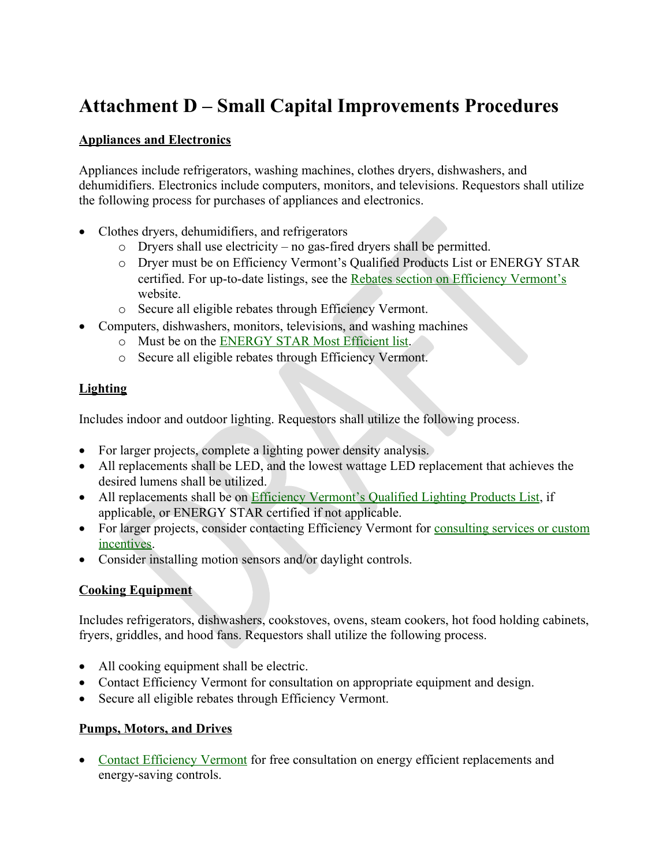# **Attachment D – Small Capital Improvements Procedures**

### **Appliances and Electronics**

Appliances include refrigerators, washing machines, clothes dryers, dishwashers, and dehumidifiers. Electronics include computers, monitors, and televisions. Requestors shall utilize the following process for purchases of appliances and electronics.

- Clothes dryers, dehumidifiers, and refrigerators
	- o Dryers shall use electricity no gas-fired dryers shall be permitted.
	- o Dryer must be on Efficiency Vermont's Qualified Products List or ENERGY STAR certified. For up-to-date listings, see the [Rebates section on Efficiency Vermont's](https://www.efficiencyvermont.com/rebates) website.
	- o Secure all eligible rebates through Efficiency Vermont.
- Computers, dishwashers, monitors, televisions, and washing machines
	- o Must be on the [ENERGY STAR Most Efficient list](https://www.energystar.gov/products/most_efficient).
	- o Secure all eligible rebates through Efficiency Vermont.

### **Lighting**

Includes indoor and outdoor lighting. Requestors shall utilize the following process.

- For larger projects, complete a lighting power density analysis.
- All replacements shall be LED, and the lowest wattage LED replacement that achieves the desired lumens shall be utilized.
- All replacements shall be on [Efficiency Vermont's Qualified Lighting Products List](https://contractors.efficiencyvermont.com/qualified-lighting-products#/home), if applicable, or ENERGY STAR certified if not applicable.
- For larger projects, consider contacting Efficiency Vermont for [consulting services or custom](https://www.efficiencyvermont.com/rebates/list/custom-project-support) [incentives.](https://www.efficiencyvermont.com/rebates/list/custom-project-support)
- Consider installing motion sensors and/or daylight controls.

## **Cooking Equipment**

Includes refrigerators, dishwashers, cookstoves, ovens, steam cookers, hot food holding cabinets, fryers, griddles, and hood fans. Requestors shall utilize the following process.

- All cooking equipment shall be electric.
- Contact Efficiency Vermont for consultation on appropriate equipment and design.
- Secure all eligible rebates through Efficiency Vermont.

## **Pumps, Motors, and Drives**

• [Contact Efficiency Vermont](https://www.efficiencyvermont.com/products-technologies/industrial-special-equipment/pumps-motors-drives) for free consultation on energy efficient replacements and energy-saving controls.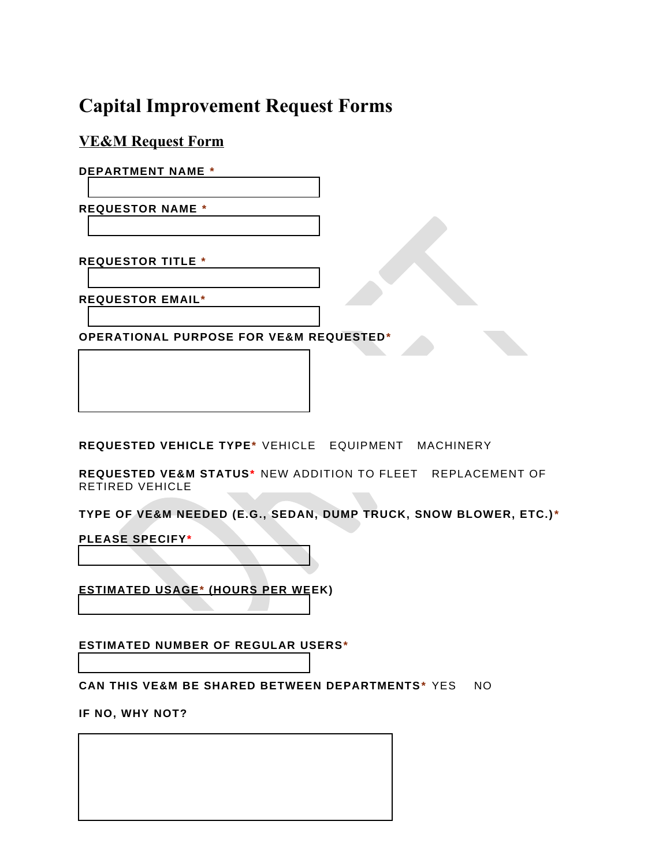# **Capital Improvement Request Forms**

**VE&M Request Form**

**DEPARTMENT NAME \***

**REQUESTOR NAME \***

**REQUESTOR TITLE \***

**REQUESTOR EMAIL\***

**OPERATIONAL PURPOSE FOR VE&M REQUESTED\***

**REQUESTED VEHICLE TYPE\*** VEHICLE EQUIPMENT MACHINERY

**REQUESTED VE&M STATUS\*** NEW ADDITION TO FLEET REPLACEMENT OF RETIRED VEHICLE

**TYPE OF VE&M NEEDED (E.G., SEDAN, DUMP TRUCK, SNOW BLOWER, ETC.)\*** 

**PLEASE SPECIFY\***

**ESTIMATED USAGE\* (HOURS PER WEEK)**

**ESTIMATED NUMBER OF REGULAR USERS\***

**CAN THIS VE&M BE SHARED BETWEEN DEPARTMENTS\*** YES NO

**IF NO, WHY NOT?**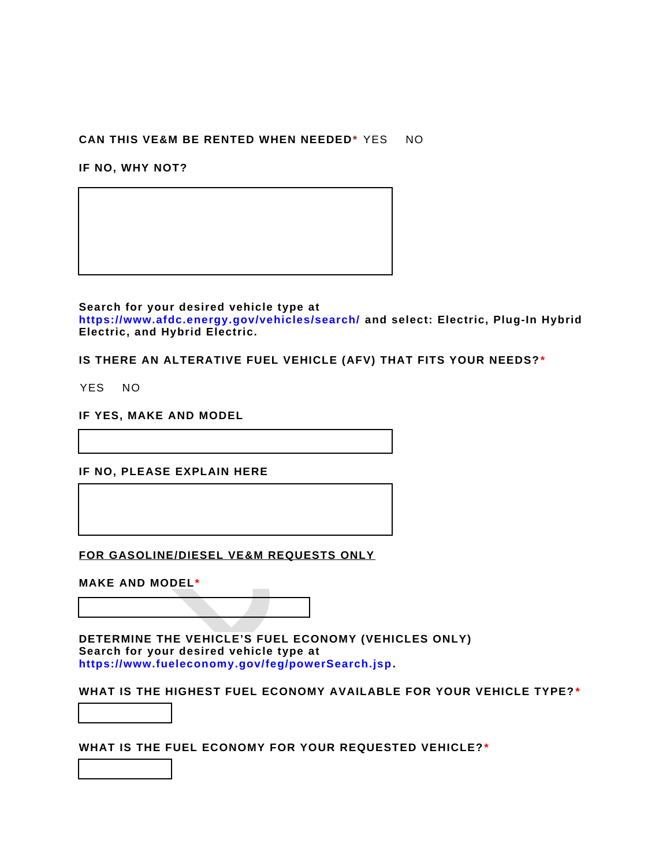#### **CAN THIS VE&M BE RENTED WHEN NEEDED\*** YES NO

**IF NO, WHY NOT?**

**Search for your desired vehicle type at https://www.afdc.energy.gov/vehicles/search/ and select: Electric, Plug-In Hybrid Electric, and Hybrid Electric.**

**IS THERE AN ALTERATIVE FUEL VEHICLE (AFV) THAT FITS YOUR NEEDS? \***

YES NO

**IF YES, MAKE AND MODEL**

**IF NO, PLEASE EXPLAIN HERE**

**FOR GASOLINE/DIESEL VE&M REQUESTS ONLY**

**MAKE AND MODEL\***

**DETERMINE THE VEHICLE'S FUEL ECONOMY (VEHICLES ONLY) Search for your desired vehicle type at https://www.fueleconomy.gov/feg/powerSearch.jsp.** 

**WHAT IS THE HIGHEST FUEL ECONOMY AVAILABLE FOR YOUR VEHICLE TYPE? \***

**WHAT IS THE FUEL ECONOMY FOR YOUR REQUESTED VEHICLE?\***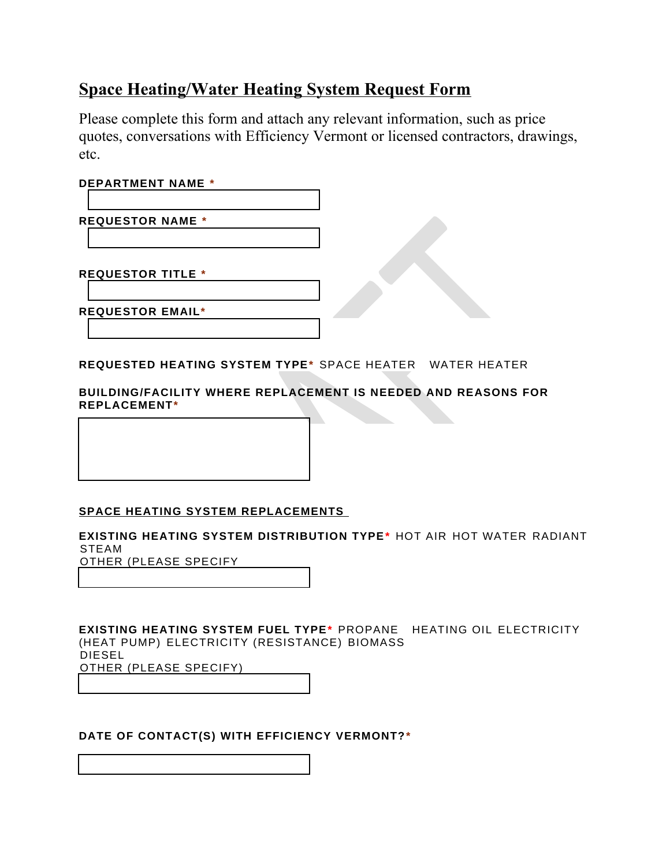# **Space Heating/Water Heating System Request Form**

Please complete this form and attach any relevant information, such as price quotes, conversations with Efficiency Vermont or licensed contractors, drawings, etc.

#### **DEPARTMENT NAME \***

**REQUESTOR NAME \***

**REQUESTOR TITLE \***

**REQUESTOR EMAIL\***

**REQUESTED HEATING SYSTEM TYPE\*** SPACE HEATER WATER HEATER

**BUILDING/FACILITY WHERE REPLACEMENT IS NEEDED AND REASONS FOR REPLACEMENT\***

#### **SPACE HEATING SYSTEM REPLACEMENTS**

**EXISTING HEATING SYSTEM DISTRIBUTION TYPE\*** HOT AIR HOT WATER RADIANT **STEAM** 

OTHER (PLEASE SPECIFY

**EXISTING HEATING SYSTEM FUEL TYPE\*** PROPANE HEATING OIL ELECTRICITY (HEAT PUMP) ELECTRICITY (RESISTANCE) BIOMASS DIESEL OTHER (PLEASE SPECIFY)

#### **DATE OF CONTACT(S) WITH EFFICIENCY VERMONT?\***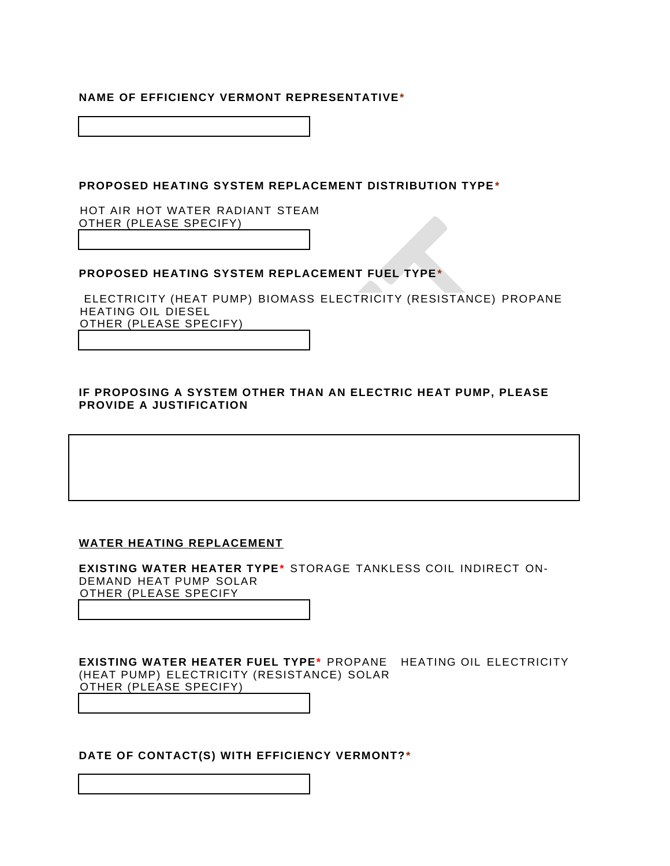#### **NAME OF EFFICIENCY VERMONT REPRESENTATIVE\***

**PROPOSED HEATING SYSTEM REPLACEMENT DISTRIBUTION TYPE\*** 

HOT AIR HOT WATER RADIANT STEAM OTHER (PLEASE SPECIFY)

#### **PROPOSED HEATING SYSTEM REPLACEMENT FUEL TYPE\***

 ELECTRICITY (HEAT PUMP) BIOMASS ELECTRICITY (RESISTANCE) PROPANE HEATING OIL DIESEL OTHER (PLEASE SPECIFY)

#### **IF PROPOSING A SYSTEM OTHER THAN AN ELECTRIC HEAT PUMP, PLEASE PROVIDE A JUSTIFICATION**

#### **WATER HEATING REPLACEMENT**

**EXISTING WATER HEATER TYPE\*** STORAGE TANKLESS COIL INDIRECT ON-DEMAND HEAT PUMP SOLAR OTHER (PLEASE SPECIFY

**EXISTING WATER HEATER FUEL TYPE\*** PROPANE HEATING OIL ELECTRICITY (HEAT PUMP) ELECTRICITY (RESISTANCE) SOLAR OTHER (PLEASE SPECIFY)

**DATE OF CONTACT(S) WITH EFFICIENCY VERMONT?\***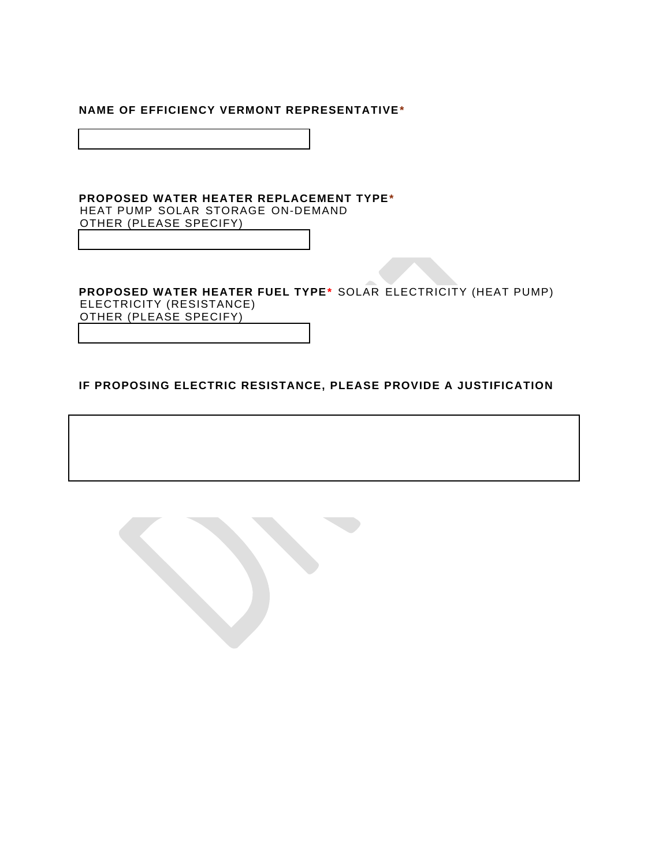#### **NAME OF EFFICIENCY VERMONT REPRESENTATIVE\***

#### **PROPOSED WATER HEATER REPLACEMENT TYPE\***  HEAT PUMP SOLAR STORAGE ON-DEMAND OTHER (PLEASE SPECIFY)

#### **PROPOSED WATER HEATER FUEL TYPE\*** SOLAR ELECTRICITY (HEAT PUMP) ELECTRICITY (RESISTANCE)

OTHER (PLEASE SPECIFY)

#### **IF PROPOSING ELECTRIC RESISTANCE, PLEASE PROVIDE A JUSTIFICATION**

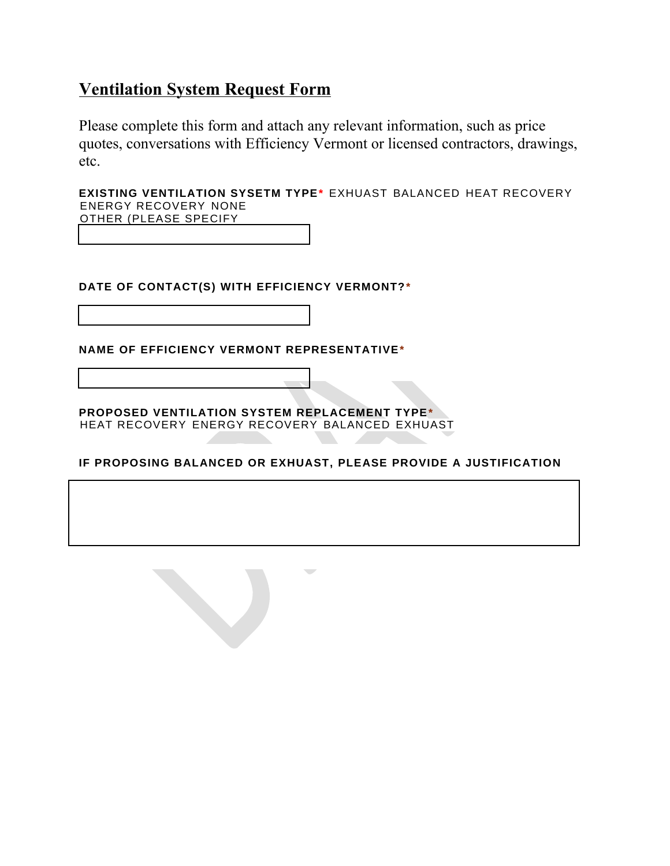# **Ventilation System Request Form**

Please complete this form and attach any relevant information, such as price quotes, conversations with Efficiency Vermont or licensed contractors, drawings, etc.

**EXISTING VENTILATION SYSETM TYPE\*** EXHUAST BALANCED HEAT RECOVERY ENERGY RECOVERY NONE OTHER (PLEASE SPECIFY

**DATE OF CONTACT(S) WITH EFFICIENCY VERMONT?\***

**NAME OF EFFICIENCY VERMONT REPRESENTATIVE\***

**PROPOSED VENTILATION SYSTEM REPLACEMENT TYPE\***  HEAT RECOVERY ENERGY RECOVERY BALANCED EXHUAST

**IF PROPOSING BALANCED OR EXHUAST, PLEASE PROVIDE A JUSTIFICATION**